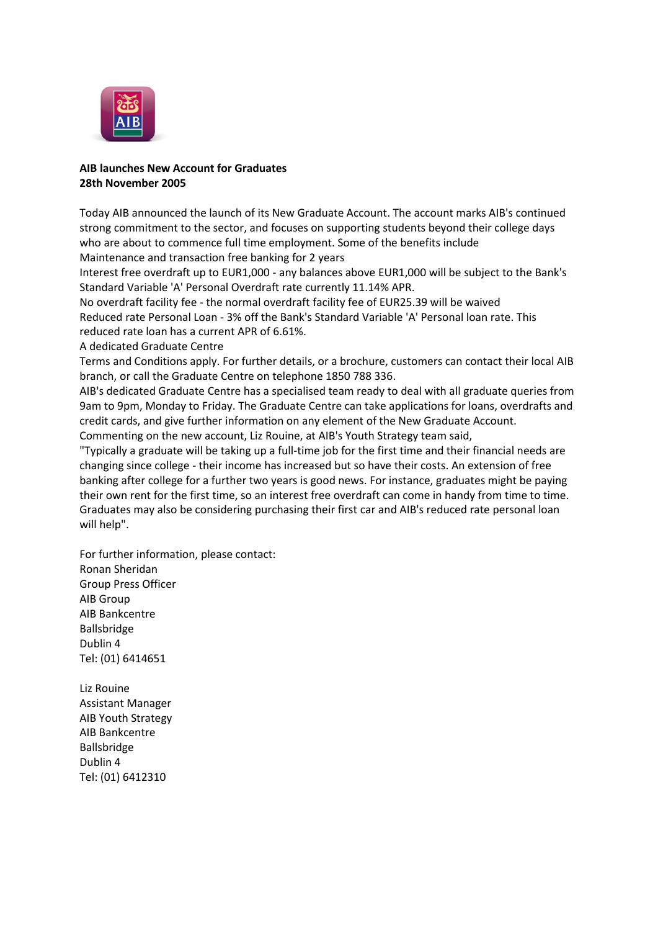

## **AIB launches New Account for Graduates 28th November 2005**

Today AIB announced the launch of its New Graduate Account. The account marks AIB's continued strong commitment to the sector, and focuses on supporting students beyond their college days who are about to commence full time employment. Some of the benefits include Maintenance and transaction free banking for 2 years

Interest free overdraft up to EUR1,000 - any balances above EUR1,000 will be subject to the Bank's Standard Variable 'A' Personal Overdraft rate currently 11.14% APR.

No overdraft facility fee - the normal overdraft facility fee of EUR25.39 will be waived

Reduced rate Personal Loan - 3% off the Bank's Standard Variable 'A' Personal loan rate. This reduced rate loan has a current APR of 6.61%.

A dedicated Graduate Centre

Terms and Conditions apply. For further details, or a brochure, customers can contact their local AIB branch, or call the Graduate Centre on telephone 1850 788 336.

AIB's dedicated Graduate Centre has a specialised team ready to deal with all graduate queries from 9am to 9pm, Monday to Friday. The Graduate Centre can take applications for loans, overdrafts and credit cards, and give further information on any element of the New Graduate Account. Commenting on the new account, Liz Rouine, at AIB's Youth Strategy team said,

"Typically a graduate will be taking up a full-time job for the first time and their financial needs are changing since college - their income has increased but so have their costs. An extension of free banking after college for a further two years is good news. For instance, graduates might be paying their own rent for the first time, so an interest free overdraft can come in handy from time to time. Graduates may also be considering purchasing their first car and AIB's reduced rate personal loan will help".

For further information, please contact: Ronan Sheridan Group Press Officer AIB Group AIB Bankcentre Ballsbridge Dublin 4 Tel: (01) 6414651

Liz Rouine Assistant Manager AIB Youth Strategy AIB Bankcentre Ballsbridge Dublin 4 Tel: (01) 6412310